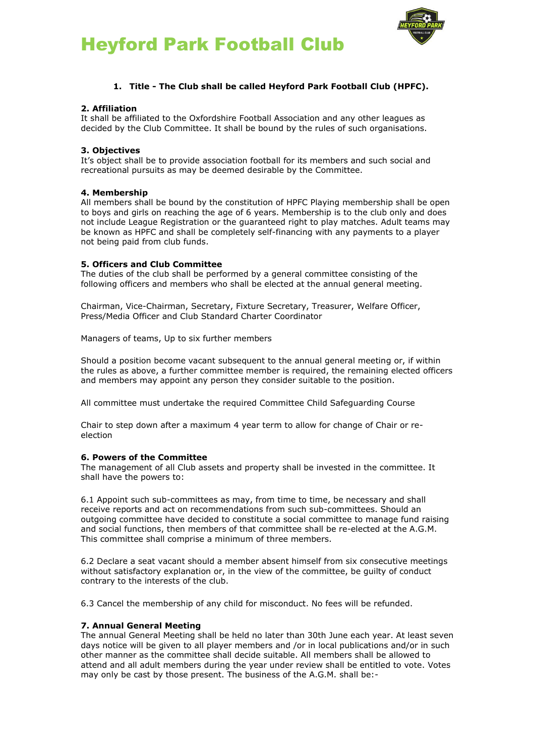



# **1. Title - The Club shall be called Heyford Park Football Club (HPFC).**

#### **2. Affiliation**

It shall be affiliated to the Oxfordshire Football Association and any other leagues as decided by the Club Committee. It shall be bound by the rules of such organisations.

### **3. Objectives**

It's object shall be to provide association football for its members and such social and recreational pursuits as may be deemed desirable by the Committee.

#### **4. Membership**

All members shall be bound by the constitution of HPFC Playing membership shall be open to boys and girls on reaching the age of 6 years. Membership is to the club only and does not include League Registration or the guaranteed right to play matches. Adult teams may be known as HPFC and shall be completely self-financing with any payments to a player not being paid from club funds.

## **5. Officers and Club Committee**

The duties of the club shall be performed by a general committee consisting of the following officers and members who shall be elected at the annual general meeting.

Chairman, Vice-Chairman, Secretary, Fixture Secretary, Treasurer, Welfare Officer, Press/Media Officer and Club Standard Charter Coordinator

Managers of teams, Up to six further members

Should a position become vacant subsequent to the annual general meeting or, if within the rules as above, a further committee member is required, the remaining elected officers and members may appoint any person they consider suitable to the position.

All committee must undertake the required Committee Child Safeguarding Course

Chair to step down after a maximum 4 year term to allow for change of Chair or reelection

#### **6. Powers of the Committee**

The management of all Club assets and property shall be invested in the committee. It shall have the powers to:

6.1 Appoint such sub-committees as may, from time to time, be necessary and shall receive reports and act on recommendations from such sub-committees. Should an outgoing committee have decided to constitute a social committee to manage fund raising and social functions, then members of that committee shall be re-elected at the A.G.M. This committee shall comprise a minimum of three members.

6.2 Declare a seat vacant should a member absent himself from six consecutive meetings without satisfactory explanation or, in the view of the committee, be guilty of conduct contrary to the interests of the club.

6.3 Cancel the membership of any child for misconduct. No fees will be refunded.

#### **7. Annual General Meeting**

The annual General Meeting shall be held no later than 30th June each year. At least seven days notice will be given to all player members and /or in local publications and/or in such other manner as the committee shall decide suitable. All members shall be allowed to attend and all adult members during the year under review shall be entitled to vote. Votes may only be cast by those present. The business of the A.G.M. shall be:-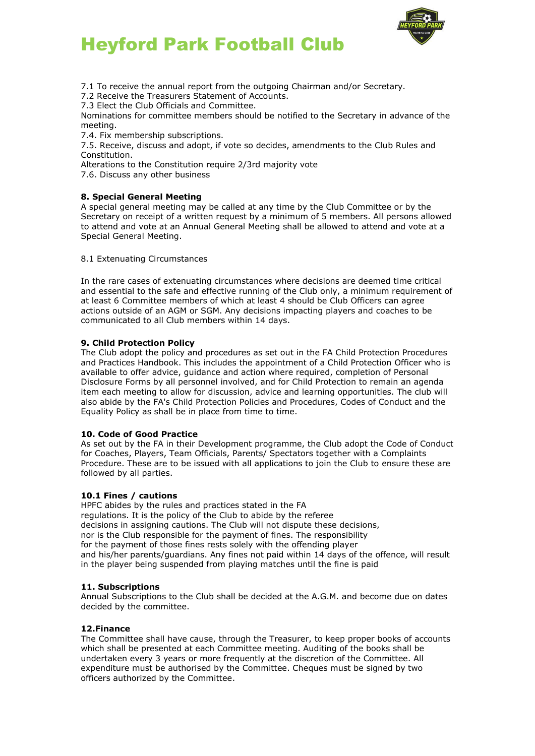



7.1 To receive the annual report from the outgoing Chairman and/or Secretary.

7.2 Receive the Treasurers Statement of Accounts.

7.3 Elect the Club Officials and Committee.

Nominations for committee members should be notified to the Secretary in advance of the meeting.

7.4. Fix membership subscriptions.

7.5. Receive, discuss and adopt, if vote so decides, amendments to the Club Rules and Constitution.

Alterations to the Constitution require 2/3rd majority vote

7.6. Discuss any other business

#### **8. Special General Meeting**

A special general meeting may be called at any time by the Club Committee or by the Secretary on receipt of a written request by a minimum of 5 members. All persons allowed to attend and vote at an Annual General Meeting shall be allowed to attend and vote at a Special General Meeting.

#### 8.1 Extenuating Circumstances

In the rare cases of extenuating circumstances where decisions are deemed time critical and essential to the safe and effective running of the Club only, a minimum requirement of at least 6 Committee members of which at least 4 should be Club Officers can agree actions outside of an AGM or SGM. Any decisions impacting players and coaches to be communicated to all Club members within 14 days.

#### **9. Child Protection Policy**

The Club adopt the policy and procedures as set out in the FA Child Protection Procedures and Practices Handbook. This includes the appointment of a Child Protection Officer who is available to offer advice, guidance and action where required, completion of Personal Disclosure Forms by all personnel involved, and for Child Protection to remain an agenda item each meeting to allow for discussion, advice and learning opportunities. The club will also abide by the FA's Child Protection Policies and Procedures, Codes of Conduct and the Equality Policy as shall be in place from time to time.

#### **10. Code of Good Practice**

As set out by the FA in their Development programme, the Club adopt the Code of Conduct for Coaches, Players, Team Officials, Parents/ Spectators together with a Complaints Procedure. These are to be issued with all applications to join the Club to ensure these are followed by all parties.

#### **10.1 Fines / cautions**

HPFC abides by the rules and practices stated in the FA regulations. It is the policy of the Club to abide by the referee decisions in assigning cautions. The Club will not dispute these decisions, nor is the Club responsible for the payment of fines. The responsibility for the payment of those fines rests solely with the offending player and his/her parents/guardians. Any fines not paid within 14 days of the offence, will result in the player being suspended from playing matches until the fine is paid

#### **11. Subscriptions**

Annual Subscriptions to the Club shall be decided at the A.G.M. and become due on dates decided by the committee.

#### **12.Finance**

The Committee shall have cause, through the Treasurer, to keep proper books of accounts which shall be presented at each Committee meeting. Auditing of the books shall be undertaken every 3 years or more frequently at the discretion of the Committee. All expenditure must be authorised by the Committee. Cheques must be signed by two officers authorized by the Committee.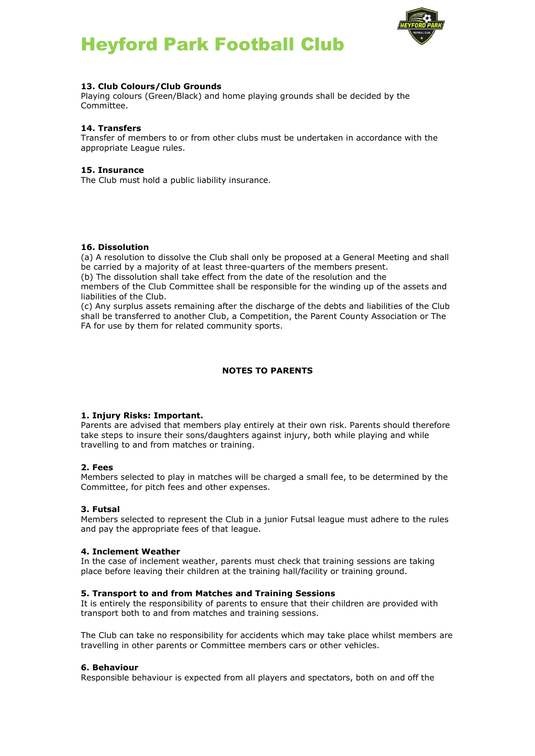



## **13. Club Colours/Club Grounds**

Playing colours (Green/Black) and home playing grounds shall be decided by the Committee.

### **14. Transfers**

Transfer of members to or from other clubs must be undertaken in accordance with the appropriate League rules.

### **15. Insurance**

The Club must hold a public liability insurance.

#### **16. Dissolution**

(a) A resolution to dissolve the Club shall only be proposed at a General Meeting and shall be carried by a majority of at least three-quarters of the members present.

(b) The dissolution shall take effect from the date of the resolution and the

members of the Club Committee shall be responsible for the winding up of the assets and liabilities of the Club.

(c) Any surplus assets remaining after the discharge of the debts and liabilities of the Club shall be transferred to another Club, a Competition, the Parent County Association or The FA for use by them for related community sports.

## **NOTES TO PARENTS**

#### **1. Injury Risks: Important.**

Parents are advised that members play entirely at their own risk. Parents should therefore take steps to insure their sons/daughters against injury, both while playing and while travelling to and from matches or training.

#### **2. Fees**

Members selected to play in matches will be charged a small fee, to be determined by the Committee, for pitch fees and other expenses.

#### **3. Futsal**

Members selected to represent the Club in a junior Futsal league must adhere to the rules and pay the appropriate fees of that league.

#### **4. Inclement Weather**

In the case of inclement weather, parents must check that training sessions are taking place before leaving their children at the training hall/facility or training ground.

#### **5. Transport to and from Matches and Training Sessions**

It is entirely the responsibility of parents to ensure that their children are provided with transport both to and from matches and training sessions.

The Club can take no responsibility for accidents which may take place whilst members are travelling in other parents or Committee members cars or other vehicles.

#### **6. Behaviour**

Responsible behaviour is expected from all players and spectators, both on and off the